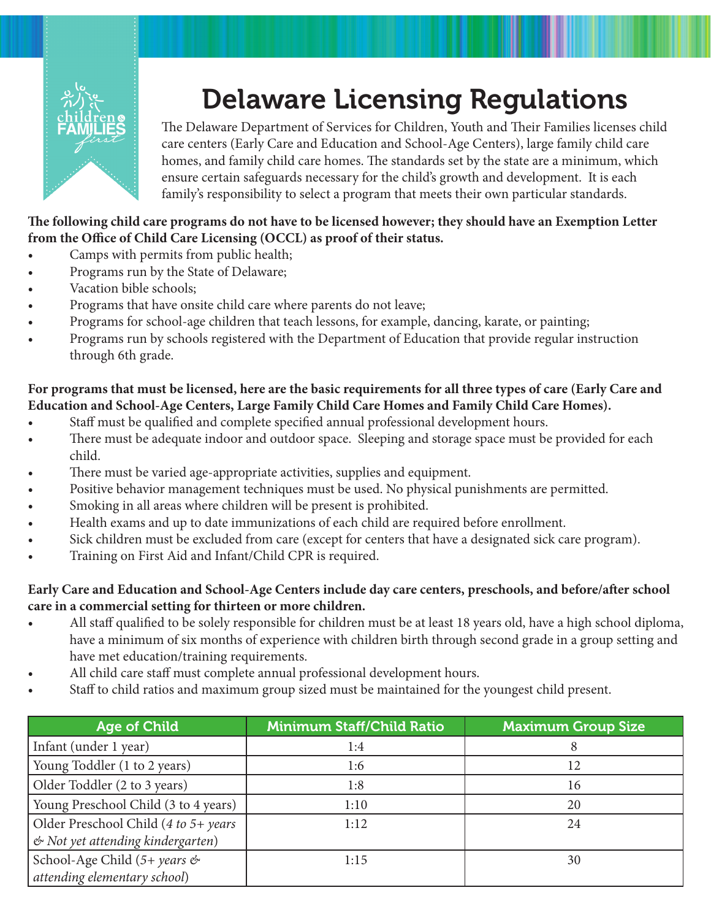

## Delaware Licensing Regulations

The Delaware Department of Services for Children, Youth and Their Families licenses child care centers (Early Care and Education and School-Age Centers), large family child care homes, and family child care homes. The standards set by the state are a minimum, which ensure certain safeguards necessary for the child's growth and development. It is each family's responsibility to select a program that meets their own particular standards.

## **The following child care programs do not have to be licensed however; they should have an Exemption Letter from the Office of Child Care Licensing (OCCL) as proof of their status.**

- Camps with permits from public health;
- Programs run by the State of Delaware;
- Vacation bible schools;
- Programs that have onsite child care where parents do not leave;
- Programs for school-age children that teach lessons, for example, dancing, karate, or painting;
- Programs run by schools registered with the Department of Education that provide regular instruction through 6th grade.

## **For programs that must be licensed, here are the basic requirements for all three types of care (Early Care and Education and School-Age Centers, Large Family Child Care Homes and Family Child Care Homes).**

- Staff must be qualified and complete specified annual professional development hours.
- There must be adequate indoor and outdoor space. Sleeping and storage space must be provided for each child.
- There must be varied age-appropriate activities, supplies and equipment.
- Positive behavior management techniques must be used. No physical punishments are permitted.
- Smoking in all areas where children will be present is prohibited.
- Health exams and up to date immunizations of each child are required before enrollment.
- Sick children must be excluded from care (except for centers that have a designated sick care program).
- Training on First Aid and Infant/Child CPR is required.

## **Early Care and Education and School-Age Centers include day care centers, preschools, and before/after school care in a commercial setting for thirteen or more children.**

- All staff qualified to be solely responsible for children must be at least 18 years old, have a high school diploma, have a minimum of six months of experience with children birth through second grade in a group setting and have met education/training requirements.
- All child care staff must complete annual professional development hours.
- Staff to child ratios and maximum group sized must be maintained for the youngest child present.

| <b>Age of Child</b>                                                       | <b>Minimum Staff/Child Ratio</b> | <b>Maximum Group Size</b> |
|---------------------------------------------------------------------------|----------------------------------|---------------------------|
| Infant (under 1 year)                                                     | 1:4                              |                           |
| Young Toddler (1 to 2 years)                                              | 1:6                              | 12                        |
| Older Toddler (2 to 3 years)                                              | 1:8                              | 16                        |
| Young Preschool Child (3 to 4 years)                                      | 1:10                             | 20                        |
| Older Preschool Child (4 to 5+ years<br>& Not yet attending kindergarten) | 1:12                             | 24                        |
| School-Age Child $(5+)$ years &<br>attending elementary school)           | 1:15                             | 30                        |